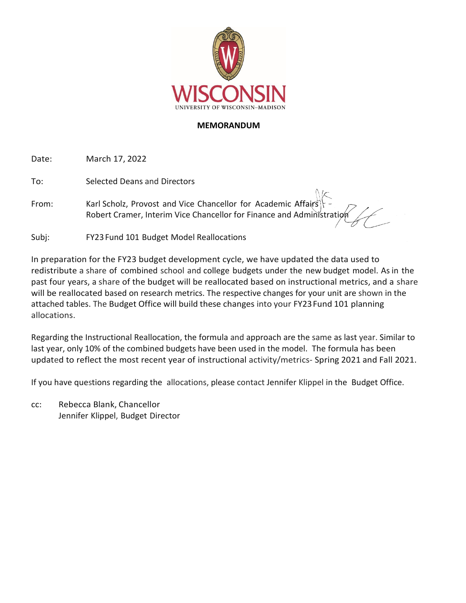

## **MEMORANDUM**

Date: March 17, 2022

To: Selected Deans and Directors

From: Karl Scholz, Provost and Vice Chancellor for Academic Affairs Robert Cramer, Interim Vice Chancellor for Finance and Administration

Subj: FY23Fund 101 Budget Model Reallocations

In preparation for the FY23 budget development cycle, we have updated the data used to redistribute a share of combined school and college budgets under the new budget model. As in the past four years, a share of the budget will be reallocated based on instructional metrics, and a share will be reallocated based on research metrics. The respective changes for your unit are shown in the attached tables. The Budget Office will build these changes into your FY23Fund 101 planning allocations.

Regarding the Instructional Reallocation, the formula and approach are the same as last year. Similar to last year, only 10% of the combined budgets have been used in the model. The formula has been updated to reflect the most recent year of instructional activity/metrics- Spring 2021 and Fall 2021.

If you have questions regarding the allocations, please contact Jennifer Klippel in the Budget Office.

cc: Rebecca Blank, Chancellor Jennifer Klippel, Budget Director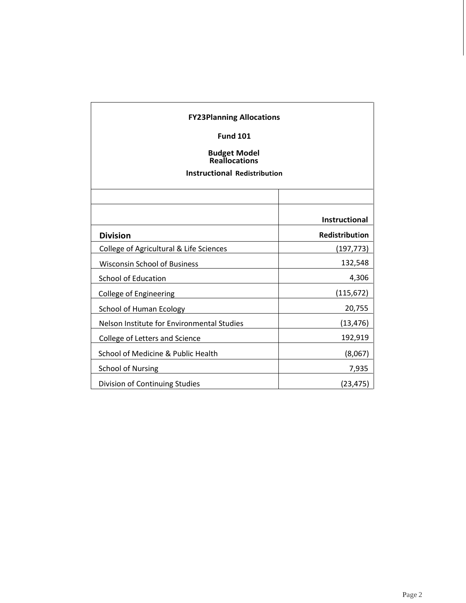| <b>FY23Planning Allocations</b><br><b>Fund 101</b><br><b>Budget Model</b><br><b>Reallocations</b><br><b>Instructional Redistribution</b> |                       |
|------------------------------------------------------------------------------------------------------------------------------------------|-----------------------|
|                                                                                                                                          |                       |
|                                                                                                                                          | <b>Instructional</b>  |
| <b>Division</b>                                                                                                                          | <b>Redistribution</b> |
| College of Agricultural & Life Sciences                                                                                                  | (197, 773)            |
| <b>Wisconsin School of Business</b>                                                                                                      | 132,548               |
| <b>School of Education</b>                                                                                                               | 4,306                 |
| <b>College of Engineering</b>                                                                                                            | (115, 672)            |
| School of Human Ecology                                                                                                                  | 20,755                |
| Nelson Institute for Environmental Studies                                                                                               | (13, 476)             |
| College of Letters and Science                                                                                                           | 192,919               |
| School of Medicine & Public Health                                                                                                       | (8,067)               |
| <b>School of Nursing</b>                                                                                                                 | 7,935                 |
| Division of Continuing Studies                                                                                                           | (23, 475)             |